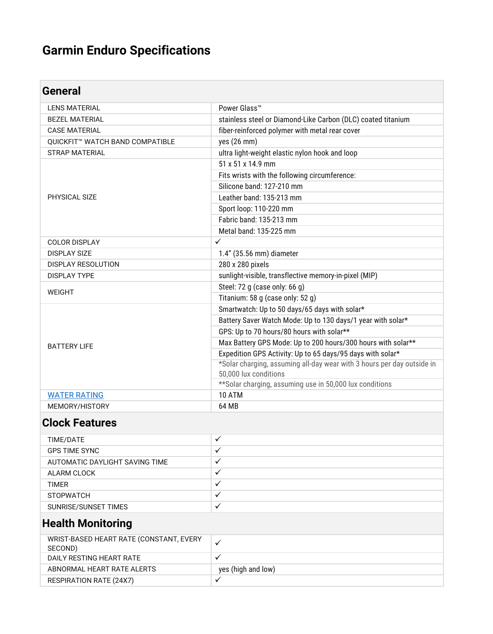# **Garmin Enduro Specifications**

| General                         |                                                                        |
|---------------------------------|------------------------------------------------------------------------|
| <b>LENS MATERIAL</b>            | Power Glass <sup>™</sup>                                               |
| <b>BEZEL MATERIAL</b>           | stainless steel or Diamond-Like Carbon (DLC) coated titanium           |
| <b>CASE MATERIAL</b>            | fiber-reinforced polymer with metal rear cover                         |
| QUICKFIT™ WATCH BAND COMPATIBLE | yes (26 mm)                                                            |
| <b>STRAP MATERIAL</b>           | ultra light-weight elastic nylon hook and loop                         |
|                                 | 51 x 51 x 14.9 mm                                                      |
|                                 | Fits wrists with the following circumference:                          |
|                                 | Silicone band: 127-210 mm                                              |
| PHYSICAL SIZE                   | Leather band: 135-213 mm                                               |
|                                 | Sport loop: 110-220 mm                                                 |
|                                 | Fabric band: 135-213 mm                                                |
|                                 | Metal band: 135-225 mm                                                 |
| <b>COLOR DISPLAY</b>            | $\checkmark$                                                           |
| <b>DISPLAY SIZE</b>             | 1.4" (35.56 mm) diameter                                               |
| <b>DISPLAY RESOLUTION</b>       | 280 x 280 pixels                                                       |
| <b>DISPLAY TYPE</b>             | sunlight-visible, transflective memory-in-pixel (MIP)                  |
| <b>WEIGHT</b>                   | Steel: 72 g (case only: 66 g)                                          |
|                                 | Titanium: 58 g (case only: 52 g)                                       |
| <b>BATTERY LIFE</b>             | Smartwatch: Up to 50 days/65 days with solar*                          |
|                                 | Battery Saver Watch Mode: Up to 130 days/1 year with solar*            |
|                                 | GPS: Up to 70 hours/80 hours with solar**                              |
|                                 | Max Battery GPS Mode: Up to 200 hours/300 hours with solar**           |
|                                 | Expedition GPS Activity: Up to 65 days/95 days with solar*             |
|                                 | *Solar charging, assuming all-day wear with 3 hours per day outside in |
|                                 | 50,000 lux conditions                                                  |
|                                 | ** Solar charging, assuming use in 50,000 lux conditions               |
| <b>WATER RATING</b>             | 10 ATM                                                                 |
| MEMORY/HISTORY                  | 64 MB                                                                  |

#### **Clock Features**

| TIME/DATE                      | Ä.        |
|--------------------------------|-----------|
| <b>GPS TIME SYNC</b>           |           |
| AUTOMATIC DAYLIGHT SAVING TIME | Ä.        |
| ALARM CLOCK                    |           |
| <b>TIMER</b>                   |           |
| <b>STOPWATCH</b>               |           |
| SUNRISE/SUNSET TIMES           | $\bullet$ |
|                                |           |

#### **Health Monitoring**

| WRIST-BASED HEART RATE (CONSTANT, EVERY<br>SECOND) |                    |
|----------------------------------------------------|--------------------|
| DAILY RESTING HEART RATE                           |                    |
| ABNORMAL HEART RATE ALERTS                         | yes (high and low) |
| <b>RESPIRATION RATE (24X7)</b>                     |                    |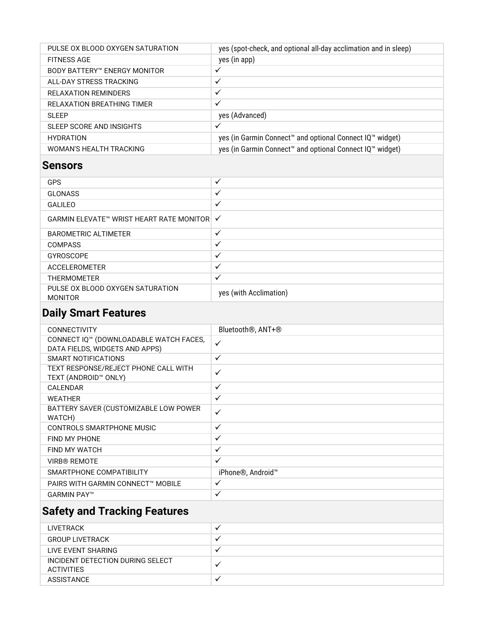| PULSE OX BLOOD OXYGEN SATURATION | yes (spot-check, and optional all-day acclimation and in sleep)      |
|----------------------------------|----------------------------------------------------------------------|
| <b>FITNESS AGE</b>               | yes (in app)                                                         |
| BODY BATTERY™ ENERGY MONITOR     | $\checkmark$                                                         |
| ALL-DAY STRESS TRACKING          | $\checkmark$                                                         |
| RELAXATION REMINDERS             | ✓                                                                    |
| RELAXATION BREATHING TIMER       | ✓                                                                    |
| SI FFP                           | yes (Advanced)                                                       |
| SLEEP SCORE AND INSIGHTS         | $\checkmark$                                                         |
| <b>HYDRATION</b>                 | yes (in Garmin Connect <sup>™</sup> and optional Connect IQ™ widget) |
| WOMAN'S HEALTH TRACKING          | yes (in Garmin Connect <sup>™</sup> and optional Connect IQ™ widget) |

#### **Sensors**

| $\checkmark$                               |
|--------------------------------------------|
| ✓                                          |
| $\checkmark$                               |
| GARMIN ELEVATE™ WRIST HEART RATE MONITOR V |
| ✓                                          |
| ✓                                          |
| $\checkmark$                               |
| $\checkmark$                               |
| ✓                                          |
| yes (with Acclimation)                     |
|                                            |

## **Daily Smart Features**

| <b>CONNECTIVITY</b>                                                      | Bluetooth <sup>®</sup> , ANT+ <sup>®</sup> |
|--------------------------------------------------------------------------|--------------------------------------------|
| CONNECT IQ™ (DOWNLOADABLE WATCH FACES,<br>DATA FIELDS, WIDGETS AND APPS) | $\checkmark$                               |
| SMART NOTIFICATIONS                                                      | $\checkmark$                               |
| TEXT RESPONSE/REJECT PHONE CALL WITH<br>TEXT (ANDROID™ ONLY)             | $\checkmark$                               |
| CALENDAR                                                                 | $\checkmark$                               |
| <b>WEATHER</b>                                                           | $\checkmark$                               |
| BATTERY SAVER (CUSTOMIZABLE LOW POWER<br>WATCH)                          | $\checkmark$                               |
| CONTROLS SMARTPHONE MUSIC                                                | $\checkmark$                               |
| FIND MY PHONE                                                            | $\checkmark$                               |
| FIND MY WATCH                                                            | $\checkmark$                               |
| <b>VIRB® REMOTE</b>                                                      | $\checkmark$                               |
| SMARTPHONE COMPATIBILITY                                                 | iPhone®, Android™                          |
| PAIRS WITH GARMIN CONNECT™ MOBILE                                        | $\checkmark$                               |
| <b>GARMIN PAY™</b>                                                       | $\checkmark$                               |
|                                                                          |                                            |

#### **Safety and Tracking Features**

| <b>LIVETRACK</b>                                      | v            |
|-------------------------------------------------------|--------------|
| <b>GROUP LIVETRACK</b>                                | $\bullet$    |
| LIVE EVENT SHARING                                    | v            |
| INCIDENT DETECTION DURING SELECT<br><b>ACTIVITIES</b> | $\checkmark$ |
| <b>ASSISTANCE</b>                                     | $\checkmark$ |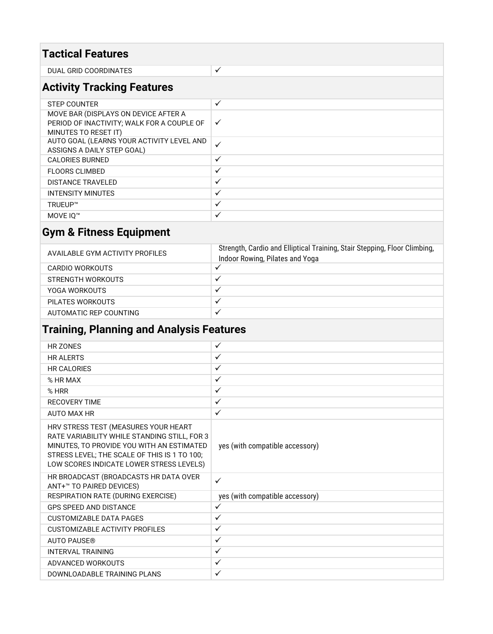| <b>Tactical Features</b>                                                                                   |              |  |
|------------------------------------------------------------------------------------------------------------|--------------|--|
| DUAL GRID COORDINATES                                                                                      | $\checkmark$ |  |
| <b>Activity Tracking Features</b>                                                                          |              |  |
| <b>STEP COUNTER</b>                                                                                        | $\checkmark$ |  |
| MOVE BAR (DISPLAYS ON DEVICE AFTER A<br>PERIOD OF INACTIVITY; WALK FOR A COUPLE OF<br>MINUTES TO RESET IT) | $\checkmark$ |  |
| AUTO GOAL (LEARNS YOUR ACTIVITY LEVEL AND<br>ASSIGNS A DAILY STEP GOAL)                                    | $\checkmark$ |  |
| <b>CALORIES BURNED</b>                                                                                     | $\checkmark$ |  |
| <b>FLOORS CLIMBED</b>                                                                                      | $\checkmark$ |  |
| <b>DISTANCE TRAVELED</b>                                                                                   | $\checkmark$ |  |
| <b>INTENSITY MINUTES</b>                                                                                   | $\checkmark$ |  |
| TRUEUP™                                                                                                    | $\checkmark$ |  |
| MOVE IO <sup>™</sup>                                                                                       | $\checkmark$ |  |

# **Gym & Fitness Equipment**

| AVAILABLE GYM ACTIVITY PROFILES | Strength, Cardio and Elliptical Training, Stair Stepping, Floor Climbing,<br>Indoor Rowing, Pilates and Yoga |
|---------------------------------|--------------------------------------------------------------------------------------------------------------|
| CARDIO WORKOUTS                 | $\checkmark$                                                                                                 |
| STRENGTH WORKOUTS               | $\checkmark$                                                                                                 |
| YOGA WORKOUTS                   | $\cdot$                                                                                                      |
| PILATES WORKOUTS                | $\cdot$                                                                                                      |
| AUTOMATIC REP COUNTING          | $\checkmark$                                                                                                 |

## **Training, Planning and Analysis Features**

| HR 70NFS                                                                                                                                                                                                                      | $\checkmark$                    |
|-------------------------------------------------------------------------------------------------------------------------------------------------------------------------------------------------------------------------------|---------------------------------|
| <b>HR ALERTS</b>                                                                                                                                                                                                              | $\checkmark$                    |
| <b>HR CALORIES</b>                                                                                                                                                                                                            | $\checkmark$                    |
| % HR MAX                                                                                                                                                                                                                      | $\checkmark$                    |
| $%$ HRR                                                                                                                                                                                                                       | $\checkmark$                    |
| <b>RECOVERY TIME</b>                                                                                                                                                                                                          | $\checkmark$                    |
| <b>AUTO MAX HR</b>                                                                                                                                                                                                            | $\checkmark$                    |
| HRV STRESS TEST (MEASURES YOUR HEART<br>RATE VARIABILITY WHILE STANDING STILL, FOR 3<br>MINUTES, TO PROVIDE YOU WITH AN ESTIMATED<br>STRESS LEVEL; THE SCALE OF THIS IS 1 TO 100;<br>LOW SCORES INDICATE LOWER STRESS LEVELS) | yes (with compatible accessory) |
| HR BROADCAST (BROADCASTS HR DATA OVER<br>ANT+™ TO PAIRED DEVICES)                                                                                                                                                             | $\checkmark$                    |
| RESPIRATION RATE (DURING EXERCISE)                                                                                                                                                                                            | yes (with compatible accessory) |
| <b>GPS SPEED AND DISTANCE</b>                                                                                                                                                                                                 | $\checkmark$                    |
| <b>CUSTOMIZABLE DATA PAGES</b>                                                                                                                                                                                                | $\checkmark$                    |
| <b>CUSTOMIZABLE ACTIVITY PROFILES</b>                                                                                                                                                                                         | $\checkmark$                    |
| <b>AUTO PAUSE®</b>                                                                                                                                                                                                            | $\checkmark$                    |
| <b>INTERVAL TRAINING</b>                                                                                                                                                                                                      | $\checkmark$                    |
| ADVANCED WORKOUTS                                                                                                                                                                                                             | $\checkmark$                    |
| DOWNLOADABLE TRAINING PLANS                                                                                                                                                                                                   | $\checkmark$                    |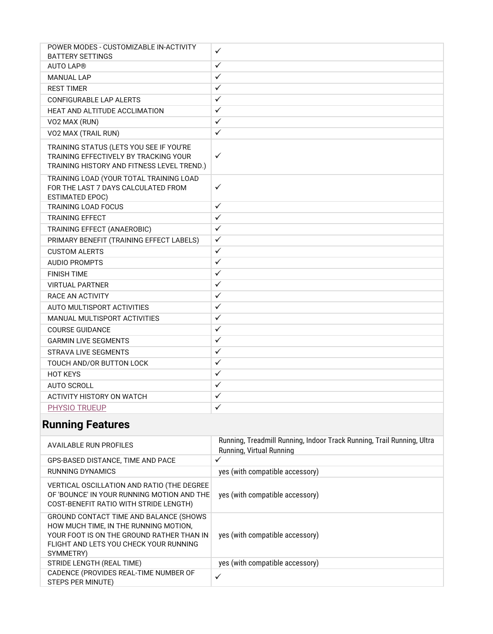| POWER MODES - CUSTOMIZABLE IN-ACTIVITY<br><b>BATTERY SETTINGS</b>                                                              | $\checkmark$ |
|--------------------------------------------------------------------------------------------------------------------------------|--------------|
| <b>AUTO LAP®</b>                                                                                                               | $\checkmark$ |
| <b>MANUAL LAP</b>                                                                                                              | $\checkmark$ |
| <b>REST TIMER</b>                                                                                                              | $\checkmark$ |
| <b>CONFIGURABLE LAP ALERTS</b>                                                                                                 | $\checkmark$ |
| HEAT AND ALTITUDE ACCLIMATION                                                                                                  | $\checkmark$ |
| VO2 MAX (RUN)                                                                                                                  | $\checkmark$ |
| VO2 MAX (TRAIL RUN)                                                                                                            | $\checkmark$ |
| TRAINING STATUS (LETS YOU SEE IF YOU'RE<br>TRAINING EFFECTIVELY BY TRACKING YOUR<br>TRAINING HISTORY AND FITNESS LEVEL TREND.) | $\checkmark$ |
| TRAINING LOAD (YOUR TOTAL TRAINING LOAD<br>FOR THE LAST 7 DAYS CALCULATED FROM<br><b>ESTIMATED EPOC)</b>                       | $\checkmark$ |
| <b>TRAINING LOAD FOCUS</b>                                                                                                     | $\checkmark$ |
| <b>TRAINING EFFECT</b>                                                                                                         | $\checkmark$ |
| TRAINING EFFECT (ANAEROBIC)                                                                                                    | $\checkmark$ |
| PRIMARY BENEFIT (TRAINING EFFECT LABELS)                                                                                       | $\checkmark$ |
| <b>CUSTOM ALERTS</b>                                                                                                           | $\checkmark$ |
| <b>AUDIO PROMPTS</b>                                                                                                           | $\checkmark$ |
| <b>FINISH TIME</b>                                                                                                             | $\checkmark$ |
| <b>VIRTUAL PARTNER</b>                                                                                                         | $\checkmark$ |
| RACE AN ACTIVITY                                                                                                               | $\checkmark$ |
| AUTO MULTISPORT ACTIVITIES                                                                                                     | $\checkmark$ |
| MANUAL MULTISPORT ACTIVITIES                                                                                                   | $\checkmark$ |
| <b>COURSE GUIDANCE</b>                                                                                                         | $\checkmark$ |
| <b>GARMIN LIVE SEGMENTS</b>                                                                                                    | $\checkmark$ |
| <b>STRAVA LIVE SEGMENTS</b>                                                                                                    | $\checkmark$ |
| TOUCH AND/OR BUTTON LOCK                                                                                                       | $\checkmark$ |
| <b>HOT KEYS</b>                                                                                                                | $\checkmark$ |
| <b>AUTO SCROLL</b>                                                                                                             | $\checkmark$ |
| <b>ACTIVITY HISTORY ON WATCH</b>                                                                                               | $\checkmark$ |
| PHYSIO TRUEUP                                                                                                                  | $\checkmark$ |

# **Running Features**

| AVAILABLE RUN PROFILES                                                                                                                                                              | Running, Treadmill Running, Indoor Track Running, Trail Running, Ultra<br>Running, Virtual Running |
|-------------------------------------------------------------------------------------------------------------------------------------------------------------------------------------|----------------------------------------------------------------------------------------------------|
| GPS-BASED DISTANCE, TIME AND PACE                                                                                                                                                   | $\checkmark$                                                                                       |
| RUNNING DYNAMICS                                                                                                                                                                    | yes (with compatible accessory)                                                                    |
| VERTICAL OSCILLATION AND RATIO (THE DEGREE<br>OF 'BOUNCE' IN YOUR RUNNING MOTION AND THE<br>COST-BENEFIT RATIO WITH STRIDE LENGTH)                                                  | yes (with compatible accessory)                                                                    |
| GROUND CONTACT TIME AND BALANCE (SHOWS<br>HOW MUCH TIME, IN THE RUNNING MOTION,<br>YOUR FOOT IS ON THE GROUND RATHER THAN IN<br>FLIGHT AND LETS YOU CHECK YOUR RUNNING<br>SYMMETRY) | yes (with compatible accessory)                                                                    |
| STRIDE LENGTH (REAL TIME)                                                                                                                                                           | yes (with compatible accessory)                                                                    |
| CADENCE (PROVIDES REAL-TIME NUMBER OF<br>STEPS PER MINUTE)                                                                                                                          | ✓                                                                                                  |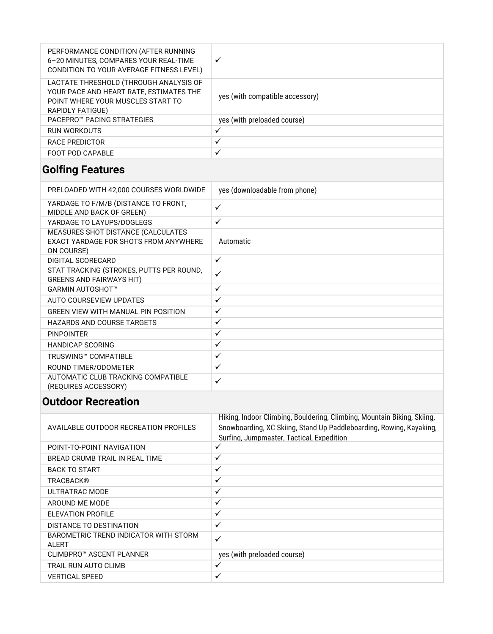| PERFORMANCE CONDITION (AFTER RUNNING<br>6-20 MINUTES, COMPARES YOUR REAL-TIME<br>CONDITION TO YOUR AVERAGE FITNESS LEVEL)                  | $\checkmark$                    |
|--------------------------------------------------------------------------------------------------------------------------------------------|---------------------------------|
| LACTATE THRESHOLD (THROUGH ANALYSIS OF<br>YOUR PACE AND HEART RATE, ESTIMATES THE<br>POINT WHERE YOUR MUSCLES START TO<br>RAPIDLY FATIGUE) | yes (with compatible accessory) |
| <b>PACEPRO™ PACING STRATEGIES</b>                                                                                                          | yes (with preloaded course)     |
| RUN WORKOUTS                                                                                                                               | ✓                               |
| RACE PREDICTOR                                                                                                                             | ✓                               |
| FOOT POD CAPABLE                                                                                                                           | ✓                               |

### **Golfing Features**

| PRELOADED WITH 42,000 COURSES WORLDWIDE                                                   | yes (downloadable from phone) |
|-------------------------------------------------------------------------------------------|-------------------------------|
| YARDAGE TO F/M/B (DISTANCE TO FRONT,<br>MIDDLE AND BACK OF GREEN)                         | $\checkmark$                  |
| YARDAGE TO LAYUPS/DOGLEGS                                                                 | ✓                             |
| MEASURES SHOT DISTANCE (CALCULATES<br>EXACT YARDAGE FOR SHOTS FROM ANYWHERE<br>ON COURSE) | Automatic                     |
| DIGITAL SCORECARD                                                                         | $\checkmark$                  |
| STAT TRACKING (STROKES, PUTTS PER ROUND,<br>GREENS AND FAIRWAYS HIT)                      | $\checkmark$                  |
| <b>GARMIN AUTOSHOT™</b>                                                                   | $\checkmark$                  |
| AUTO COURSEVIEW UPDATES                                                                   | $\checkmark$                  |
| <b>GREEN VIEW WITH MANUAL PIN POSITION</b>                                                | $\checkmark$                  |
| <b>HAZARDS AND COURSE TARGETS</b>                                                         | $\checkmark$                  |
| <b>PINPOINTER</b>                                                                         | $\checkmark$                  |
| <b>HANDICAP SCORING</b>                                                                   | $\checkmark$                  |
| <b>TRUSWING™ COMPATIBLE</b>                                                               | $\checkmark$                  |
| ROUND TIMER/ODOMETER                                                                      | $\checkmark$                  |
| AUTOMATIC CLUB TRACKING COMPATIBLE<br>(REQUIRES ACCESSORY)                                | $\checkmark$                  |

#### **Outdoor Recreation**

| AVAILABLE OUTDOOR RECREATION PROFILES          | Hiking, Indoor Climbing, Bouldering, Climbing, Mountain Biking, Skiing,<br>Snowboarding, XC Skiing, Stand Up Paddleboarding, Rowing, Kayaking,<br>Surfing, Jumpmaster, Tactical, Expedition |
|------------------------------------------------|---------------------------------------------------------------------------------------------------------------------------------------------------------------------------------------------|
| POINT-TO-POINT NAVIGATION                      | $\checkmark$                                                                                                                                                                                |
| BREAD CRUMB TRAIL IN REAL TIME                 | $\checkmark$                                                                                                                                                                                |
| <b>BACK TO START</b>                           | $\checkmark$                                                                                                                                                                                |
| TRACBACK®                                      | $\checkmark$                                                                                                                                                                                |
| ULTRATRAC MODE                                 | $\checkmark$                                                                                                                                                                                |
| AROUND ME MODE                                 | $\checkmark$                                                                                                                                                                                |
| ELEVATION PROFILE                              | $\checkmark$                                                                                                                                                                                |
| DISTANCE TO DESTINATION                        | $\checkmark$                                                                                                                                                                                |
| BAROMETRIC TREND INDICATOR WITH STORM<br>ALERT | $\checkmark$                                                                                                                                                                                |
| CLIMBPRO™ ASCENT PLANNER                       | yes (with preloaded course)                                                                                                                                                                 |
| TRAIL RUN AUTO CLIMB                           | $\checkmark$                                                                                                                                                                                |
| VERTICAL SPEED                                 | $\checkmark$                                                                                                                                                                                |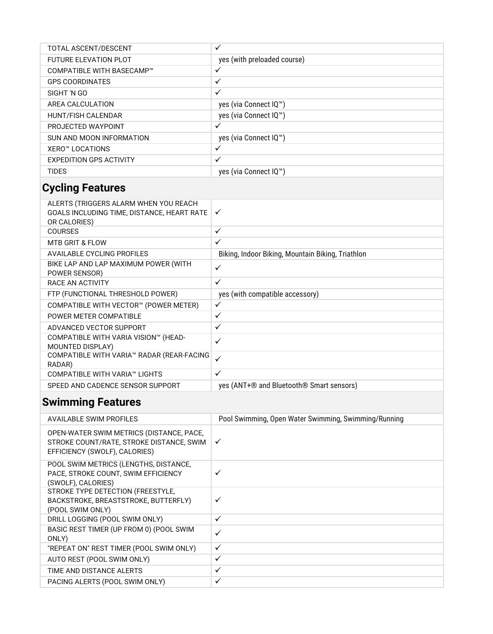| TOTAL ASCENT/DESCENT           | ✓                           |
|--------------------------------|-----------------------------|
| <b>FUTURE ELEVATION PLOT</b>   | yes (with preloaded course) |
| COMPATIBLE WITH BASECAMP™      | v                           |
| <b>GPS COORDINATES</b>         | $\checkmark$                |
| SIGHT 'N GO                    | ✓                           |
| AREA CALCULATION               | yes (via Connect IQ™)       |
| <b>HUNT/FISH CALENDAR</b>      | yes (via Connect IQ™)       |
| PROJECTED WAYPOINT             | ✓                           |
| SUN AND MOON INFORMATION       | yes (via Connect IQ™)       |
| XERO™ LOCATIONS                | ✓                           |
| <b>EXPEDITION GPS ACTIVITY</b> | ✓                           |
| <b>TIDES</b>                   | yes (via Connect IQ™)       |

### **Cycling Features**

| ALERTS (TRIGGERS ALARM WHEN YOU REACH<br>GOALS INCLUDING TIME, DISTANCE, HEART RATE<br>OR CALORIES) | $\checkmark$                                      |
|-----------------------------------------------------------------------------------------------------|---------------------------------------------------|
| <b>COURSES</b>                                                                                      | $\checkmark$                                      |
| <b>MTB GRIT &amp; FLOW</b>                                                                          | $\checkmark$                                      |
| <b>AVAILABLE CYCLING PROFILES</b>                                                                   | Biking, Indoor Biking, Mountain Biking, Triathlon |
| BIKE LAP AND LAP MAXIMUM POWER (WITH<br>POWER SENSOR)                                               | $\checkmark$                                      |
| RACE AN ACTIVITY                                                                                    | $\checkmark$                                      |
| FTP (FUNCTIONAL THRESHOLD POWER)                                                                    | yes (with compatible accessory)                   |
| COMPATIBLE WITH VECTOR™ (POWER METER)                                                               | $\checkmark$                                      |
| POWER METER COMPATIBLE                                                                              | $\checkmark$                                      |
| ADVANCED VECTOR SUPPORT                                                                             | $\checkmark$                                      |
| COMPATIBLE WITH VARIA VISION™ (HEAD-<br>MOUNTED DISPLAY)                                            | $\checkmark$                                      |
| COMPATIBLE WITH VARIA™ RADAR (REAR-FACING<br>RADAR)                                                 | ✓                                                 |
| COMPATIBLE WITH VARIA™ LIGHTS                                                                       | $\checkmark$                                      |
| SPEED AND CADENCE SENSOR SUPPORT                                                                    | yes (ANT+® and Bluetooth® Smart sensors)          |
|                                                                                                     |                                                   |

## **Swimming Features**

| AVAILABLE SWIM PROFILES                                                                                               | Pool Swimming, Open Water Swimming, Swimming/Running |
|-----------------------------------------------------------------------------------------------------------------------|------------------------------------------------------|
| OPEN-WATER SWIM METRICS (DISTANCE, PACE,<br>STROKE COUNT/RATE, STROKE DISTANCE, SWIM<br>EFFICIENCY (SWOLF), CALORIES) | ✓                                                    |
| POOL SWIM METRICS (LENGTHS, DISTANCE,<br>PACE, STROKE COUNT, SWIM EFFICIENCY<br>(SWOLF), CALORIES)                    | ✓                                                    |
| STROKE TYPE DETECTION (FREESTYLE,<br>BACKSTROKE, BREASTSTROKE, BUTTERFLY)<br>(POOL SWIM ONLY)                         | ✓                                                    |
| DRILL LOGGING (POOL SWIM ONLY)                                                                                        | $\checkmark$                                         |
| BASIC REST TIMER (UP FROM 0) (POOL SWIM<br>ONLY)                                                                      | ✓                                                    |
| "REPEAT ON" REST TIMER (POOL SWIM ONLY)                                                                               | $\checkmark$                                         |
| AUTO REST (POOL SWIM ONLY)                                                                                            | ✓                                                    |
| TIME AND DISTANCE ALERTS                                                                                              | ✓                                                    |
| PACING ALERTS (POOL SWIM ONLY)                                                                                        | $\checkmark$                                         |